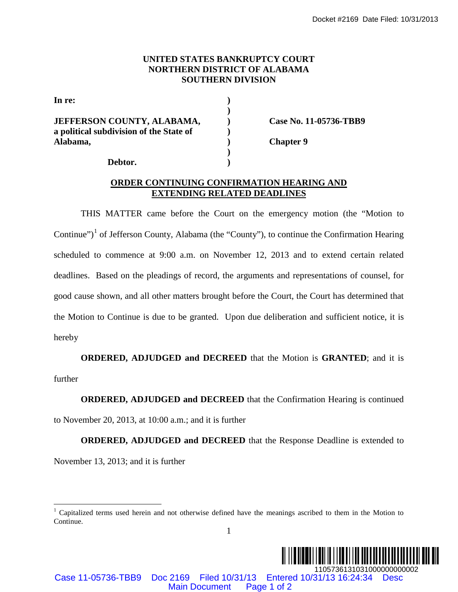## **UNITED STATES BANKRUPTCY COURT NORTHERN DISTRICT OF ALABAMA SOUTHERN DIVISION**

| In re:                                  |  |
|-----------------------------------------|--|
| <b>JEFFERSON COUNTY, ALABAMA,</b>       |  |
| a political subdivision of the State of |  |
| Alabama,                                |  |
|                                         |  |
| Debtor.                                 |  |

**JEFFERSON COUNTY, ALABAMA, ) Case No. 11-05736-TBB9**

**Alabama, ) Chapter 9**

## **ORDER CONTINUING CONFIRMATION HEARING AND EXTENDING RELATED DEADLINES**

THIS MATTER came before the Court on the emergency motion (the "Motion to Continue")<sup>[1](#page-0-0)</sup> of Jefferson County, Alabama (the "County"), to continue the Confirmation Hearing scheduled to commence at 9:00 a.m. on November 12, 2013 and to extend certain related deadlines. Based on the pleadings of record, the arguments and representations of counsel, for good cause shown, and all other matters brought before the Court, the Court has determined that the Motion to Continue is due to be granted. Upon due deliberation and sufficient notice, it is hereby Cocket #2169 Date Filed: 10/31/2013<br>
MAMA,<br>
SOUTHERN DISTRICT OF ALABAMA<br>
SOUTHERN DISTRICT OF ALABAMA<br>
SOUTHERN DISTON<br>
(SONTREMATION IIFARING AND<br>
(THERN CONFIRMATION IIFARING AND<br>
TINUING CONFIRMATION IIFARING AND<br>
><br>

**ORDERED, ADJUDGED and DECREED** that the Motion is **GRANTED**; and it is further

**ORDERED, ADJUDGED and DECREED** that the Confirmation Hearing is continued

to November 20, 2013, at 10:00 a.m.; and it is further

**ORDERED, ADJUDGED and DECREED** that the Response Deadline is extended to

November 13, 2013; and it is further

Case 11-05736-TBB9 Doc 2169 Filed 10/31/13 Entered 10/31/13 16:24:34 Desc

<span id="page-0-0"></span><sup>1</sup> 1 Capitalized terms used herein and not otherwise defined have the meanings ascribed to them in the Motion to Continue.